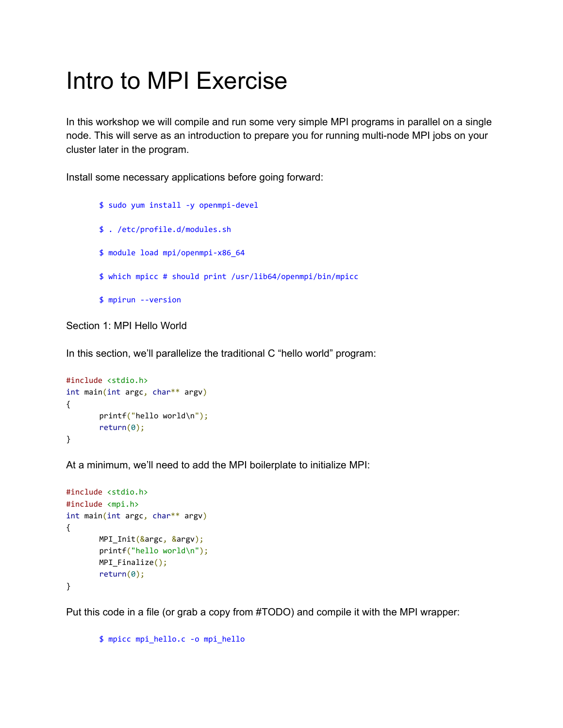## Intro to MPI Exercise

In this workshop we will compile and run some very simple MPI programs in parallel on a single node. This will serve as an introduction to prepare you for running multi-node MPI jobs on your cluster later in the program.

Install some necessary applications before going forward:

```
$ sudo yum install -y openmpi-devel
$ . /etc/profile.d/modules.sh
$ module load mpi/openmpi-x86_64
$ which mpicc # should print /usr/lib64/openmpi/bin/mpicc
$ mpirun --version
```
Section 1: MPI Hello World

In this section, we'll parallelize the traditional C "hello world" program:

```
#include <stdio.h>
int main(int argc, char** argv)
{
       printf("hello world\n");
       return(0);
}
```
At a minimum, we'll need to add the MPI boilerplate to initialize MPI:

```
#include <stdio.h>
#include <mpi.h>
int main(int argc, char** argv)
{
       MPI_Init(&argc, &argv);
       printf("hello world\n");
       MPI_Finalize();
       return(0);
}
```
Put this code in a file (or grab a copy from #TODO) and compile it with the MPI wrapper:

```
$ mpicc mpi_hello.c -o mpi_hello
```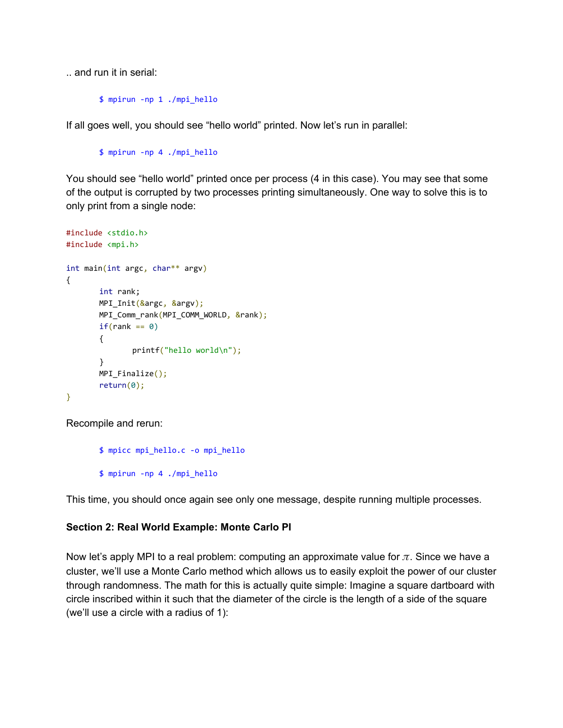.. and run it in serial:

\$ mpirun -np 1 ./mpi\_hello

If all goes well, you should see "hello world" printed. Now let's run in parallel:

```
$ mpirun -np 4 ./mpi_hello
```
You should see "hello world" printed once per process (4 in this case). You may see that some of the output is corrupted by two processes printing simultaneously. One way to solve this is to only print from a single node:

```
#include <stdio.h>
#include <mpi.h>
int main(int argc, char** argv)
{
       int rank;
       MPI_Init(&argc, &argv);
       MPI_Comm_rank(MPI_COMM_WORLD, &rank);
       if(rank == 0){
              printf("hello world\n");
       }
       MPI_Finalize();
       return(0);
}
```
Recompile and rerun:

\$ mpicc mpi\_hello.c -o mpi\_hello \$ mpirun -np 4 ./mpi\_hello

This time, you should once again see only one message, despite running multiple processes.

## **Section 2: Real World Example: Monte Carlo PI**

Now let's apply MPI to a real problem: computing an approximate value for  $\pi$ . Since we have a cluster, we'll use a Monte Carlo method which allows us to easily exploit the power of our cluster through randomness. The math for this is actually quite simple: Imagine a square dartboard with circle inscribed within it such that the diameter of the circle is the length of a side of the square (we'll use a circle with a radius of 1):